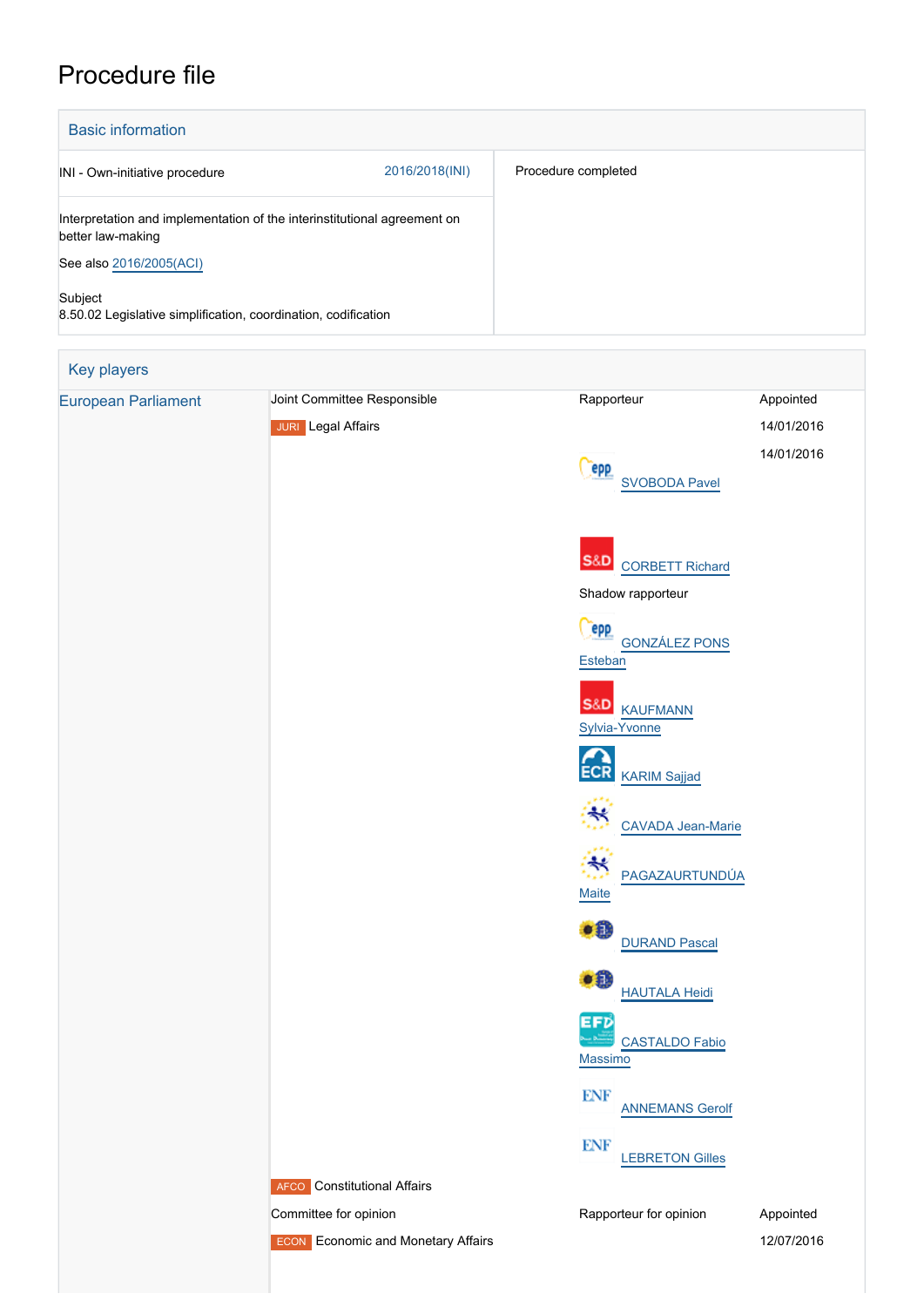## Procedure file

| <b>Basic information</b>                                                                      |                |                     |
|-----------------------------------------------------------------------------------------------|----------------|---------------------|
| INI - Own-initiative procedure                                                                | 2016/2018(INI) | Procedure completed |
| Interpretation and implementation of the interinstitutional agreement on<br>better law-making |                |                     |
| See also 2016/2005(ACI)                                                                       |                |                     |
| Subject<br>8.50.02 Legislative simplification, coordination, codification                     |                |                     |

| Key players                |                                           |                                                       |            |
|----------------------------|-------------------------------------------|-------------------------------------------------------|------------|
| <b>European Parliament</b> | Joint Committee Responsible               | Rapporteur                                            | Appointed  |
|                            | <b>JURI</b> Legal Affairs                 |                                                       | 14/01/2016 |
|                            |                                           | <b>epp</b>                                            | 14/01/2016 |
|                            |                                           | <b>SVOBODA Pavel</b>                                  |            |
|                            |                                           |                                                       |            |
|                            |                                           |                                                       |            |
|                            |                                           | <b>S&amp;D</b> CORBETT Richard                        |            |
|                            |                                           | Shadow rapporteur                                     |            |
|                            |                                           | epp<br><b>GONZÁLEZ PONS</b>                           |            |
|                            |                                           | <b>Esteban</b>                                        |            |
|                            |                                           | <b>S&amp;D</b> KAUFMANN                               |            |
|                            |                                           | Sylvia-Yvonne                                         |            |
|                            |                                           | <b>ECR</b>                                            |            |
|                            |                                           | <b>KARIM Sajjad</b>                                   |            |
|                            |                                           | ≼<br><b>CAVADA Jean-Marie</b>                         |            |
|                            |                                           |                                                       |            |
|                            |                                           | $\ddot{\mathrm{z}}$<br>PAGAZAURTUNDÚA<br><b>Maite</b> |            |
|                            |                                           |                                                       |            |
|                            |                                           | $\bullet$ $\bullet$<br><b>DURAND Pascal</b>           |            |
|                            |                                           | ∙Ð                                                    |            |
|                            |                                           | <b>HAUTALA Heidi</b><br>EFD                           |            |
|                            |                                           | <b>CASTALDO Fabio</b>                                 |            |
|                            |                                           | Massimo                                               |            |
|                            |                                           | <b>ENF</b><br><b>ANNEMANS Gerolf</b>                  |            |
|                            |                                           | <b>ENF</b>                                            |            |
|                            |                                           | <b>LEBRETON Gilles</b>                                |            |
|                            | <b>AFCO</b> Constitutional Affairs        |                                                       |            |
|                            | Committee for opinion                     | Rapporteur for opinion                                | Appointed  |
|                            | <b>ECON</b> Economic and Monetary Affairs |                                                       | 12/07/2016 |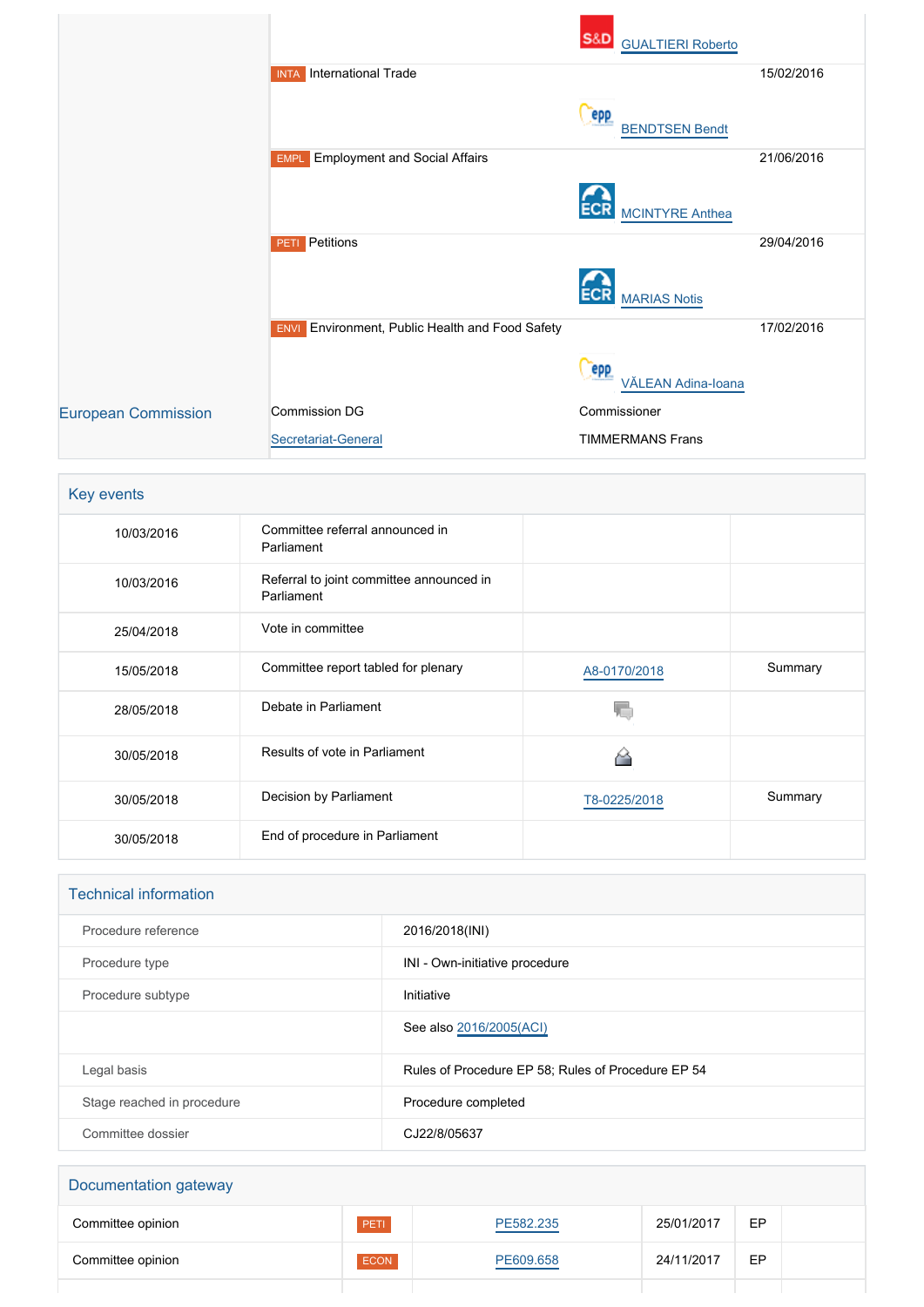|                            |                                                           | <b>S&amp;D</b><br><b>GUALTIERI Roberto</b> |            |
|----------------------------|-----------------------------------------------------------|--------------------------------------------|------------|
|                            | <b>International Trade</b><br><b>INTA</b>                 |                                            | 15/02/2016 |
|                            |                                                           | epp<br><b>BENDTSEN Bendt</b>               |            |
|                            | <b>Employment and Social Affairs</b><br><b>EMPL</b>       |                                            | 21/06/2016 |
|                            |                                                           | <b>ECR</b><br><b>MCINTYRE Anthea</b>       |            |
|                            | Petitions<br>PETI                                         |                                            | 29/04/2016 |
|                            |                                                           | <b>MARIAS Notis</b>                        |            |
|                            | Environment, Public Health and Food Safety<br><b>ENVI</b> |                                            | 17/02/2016 |
|                            |                                                           | epp<br>VĂLEAN Adina-Ioana                  |            |
| <b>European Commission</b> | Commission DG                                             | Commissioner                               |            |
|                            | Secretariat-General                                       | <b>TIMMERMANS Frans</b>                    |            |

|  | <b>Key events</b> |
|--|-------------------|
|  |                   |

| 10/03/2016 | Committee referral announced in<br>Parliament          |              |         |
|------------|--------------------------------------------------------|--------------|---------|
| 10/03/2016 | Referral to joint committee announced in<br>Parliament |              |         |
| 25/04/2018 | Vote in committee                                      |              |         |
| 15/05/2018 | Committee report tabled for plenary                    | A8-0170/2018 | Summary |
| 28/05/2018 | Debate in Parliament                                   |              |         |
| 30/05/2018 | Results of vote in Parliament                          |              |         |
| 30/05/2018 | Decision by Parliament                                 | T8-0225/2018 | Summary |
| 30/05/2018 | End of procedure in Parliament                         |              |         |

## Technical information

| Procedure reference        | 2016/2018(INI)                                     |
|----------------------------|----------------------------------------------------|
| Procedure type             | INI - Own-initiative procedure                     |
| Procedure subtype          | Initiative                                         |
|                            | See also 2016/2005(ACI)                            |
| Legal basis                | Rules of Procedure EP 58; Rules of Procedure EP 54 |
| Stage reached in procedure | Procedure completed                                |
| Committee dossier          | CJ22/8/05637                                       |

| Documentation gateway |      |           |            |    |  |
|-----------------------|------|-----------|------------|----|--|
| Committee opinion     | PETI | PE582.235 | 25/01/2017 | EP |  |
| Committee opinion     | ECON | PE609.658 | 24/11/2017 | EP |  |
|                       |      |           |            |    |  |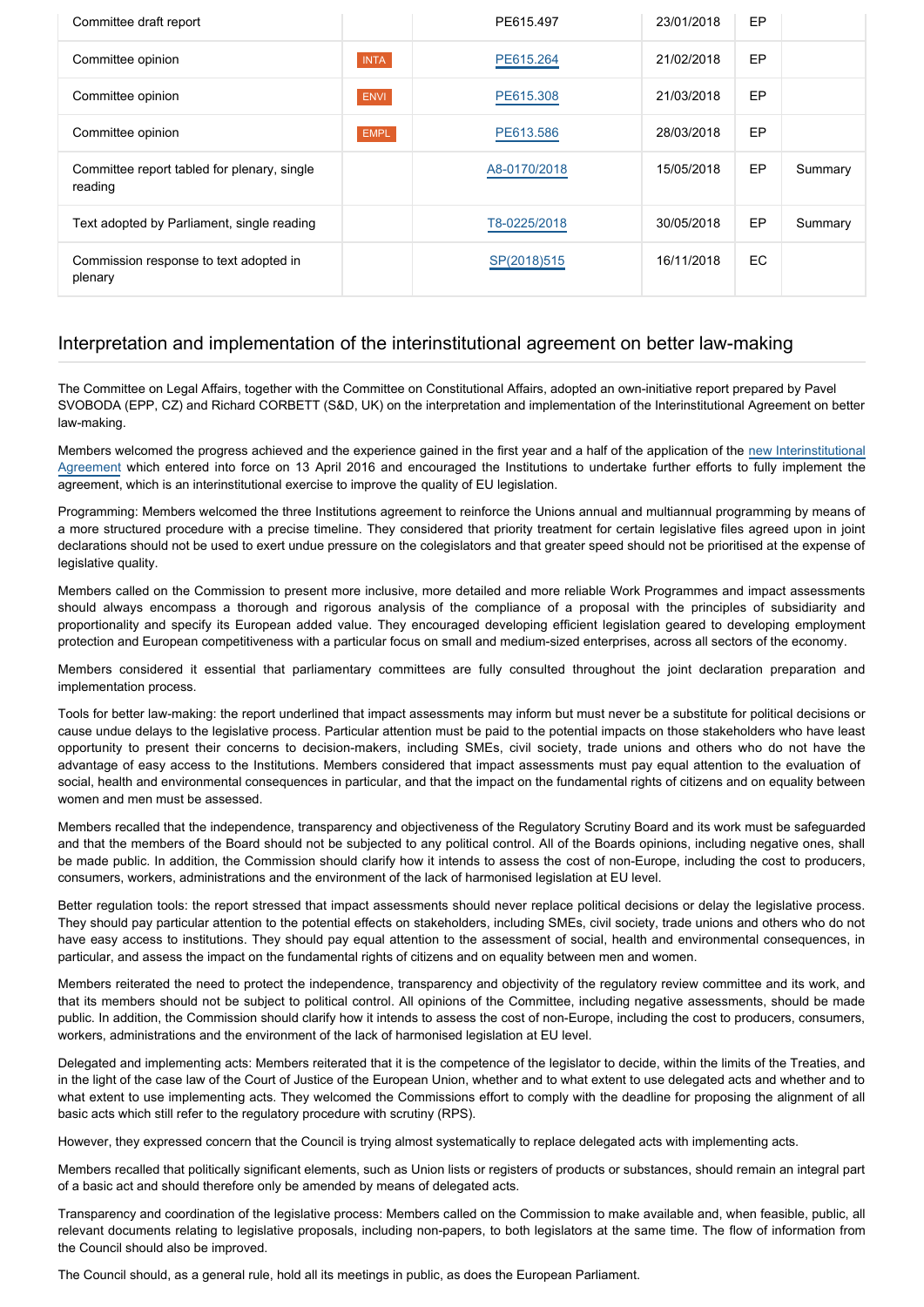| Committee draft report                                 |             | PE615.497    | 23/01/2018 | <b>EP</b> |         |
|--------------------------------------------------------|-------------|--------------|------------|-----------|---------|
| Committee opinion                                      | <b>INTA</b> | PE615.264    | 21/02/2018 | EP        |         |
| Committee opinion                                      | <b>ENVI</b> | PE615.308    | 21/03/2018 | <b>EP</b> |         |
| Committee opinion                                      | <b>EMPL</b> | PE613.586    | 28/03/2018 | <b>EP</b> |         |
| Committee report tabled for plenary, single<br>reading |             | A8-0170/2018 | 15/05/2018 | EP        | Summary |
| Text adopted by Parliament, single reading             |             | T8-0225/2018 | 30/05/2018 | <b>EP</b> | Summary |
| Commission response to text adopted in<br>plenary      |             | SP(2018)515  | 16/11/2018 | EC.       |         |

## Interpretation and implementation of the interinstitutional agreement on better law-making

The Committee on Legal Affairs, together with the Committee on Constitutional Affairs, adopted an own-initiative report prepared by Pavel SVOBODA (EPP, CZ) and Richard CORBETT (S&D, UK) on the interpretation and implementation of the Interinstitutional Agreement on better law-making.

Members welcomed the progress achieved and the experience gained in the first year and a half of the application of the [new Interinstitutional](http://www.europarl.europa.eu/oeil/popups/ficheprocedure.do?reference=2016/2005(ACI)&l=en) [Agreement](http://www.europarl.europa.eu/oeil/popups/ficheprocedure.do?reference=2016/2005(ACI)&l=en) which entered into force on 13 April 2016 and encouraged the Institutions to undertake further efforts to fully implement the agreement, which is an interinstitutional exercise to improve the quality of EU legislation.

Programming: Members welcomed the three Institutions agreement to reinforce the Unions annual and multiannual programming by means of a more structured procedure with a precise timeline. They considered that priority treatment for certain legislative files agreed upon in joint declarations should not be used to exert undue pressure on the colegislators and that greater speed should not be prioritised at the expense of legislative quality.

Members called on the Commission to present more inclusive, more detailed and more reliable Work Programmes and impact assessments should always encompass a thorough and rigorous analysis of the compliance of a proposal with the principles of subsidiarity and proportionality and specify its European added value. They encouraged developing efficient legislation geared to developing employment protection and European competitiveness with a particular focus on small and medium-sized enterprises, across all sectors of the economy.

Members considered it essential that parliamentary committees are fully consulted throughout the joint declaration preparation and implementation process.

Tools for better law-making: the report underlined that impact assessments may inform but must never be a substitute for political decisions or cause undue delays to the legislative process. Particular attention must be paid to the potential impacts on those stakeholders who have least opportunity to present their concerns to decision-makers, including SMEs, civil society, trade unions and others who do not have the advantage of easy access to the Institutions. Members considered that impact assessments must pay equal attention to the evaluation of social, health and environmental consequences in particular, and that the impact on the fundamental rights of citizens and on equality between women and men must be assessed.

Members recalled that the independence, transparency and objectiveness of the Regulatory Scrutiny Board and its work must be safeguarded and that the members of the Board should not be subjected to any political control. All of the Boards opinions, including negative ones, shall be made public. In addition, the Commission should clarify how it intends to assess the cost of non-Europe, including the cost to producers, consumers, workers, administrations and the environment of the lack of harmonised legislation at EU level.

Better regulation tools: the report stressed that impact assessments should never replace political decisions or delay the legislative process. They should pay particular attention to the potential effects on stakeholders, including SMEs, civil society, trade unions and others who do not have easy access to institutions. They should pay equal attention to the assessment of social, health and environmental consequences, in particular, and assess the impact on the fundamental rights of citizens and on equality between men and women.

Members reiterated the need to protect the independence, transparency and objectivity of the regulatory review committee and its work, and that its members should not be subject to political control. All opinions of the Committee, including negative assessments, should be made public. In addition, the Commission should clarify how it intends to assess the cost of non-Europe, including the cost to producers, consumers, workers, administrations and the environment of the lack of harmonised legislation at EU level.

Delegated and implementing acts: Members reiterated that it is the competence of the legislator to decide, within the limits of the Treaties, and in the light of the case law of the Court of Justice of the European Union, whether and to what extent to use delegated acts and whether and to what extent to use implementing acts. They welcomed the Commissions effort to comply with the deadline for proposing the alignment of all basic acts which still refer to the regulatory procedure with scrutiny (RPS).

However, they expressed concern that the Council is trying almost systematically to replace delegated acts with implementing acts.

Members recalled that politically significant elements, such as Union lists or registers of products or substances, should remain an integral part of a basic act and should therefore only be amended by means of delegated acts.

Transparency and coordination of the legislative process: Members called on the Commission to make available and, when feasible, public, all relevant documents relating to legislative proposals, including non-papers, to both legislators at the same time. The flow of information from the Council should also be improved.

The Council should, as a general rule, hold all its meetings in public, as does the European Parliament.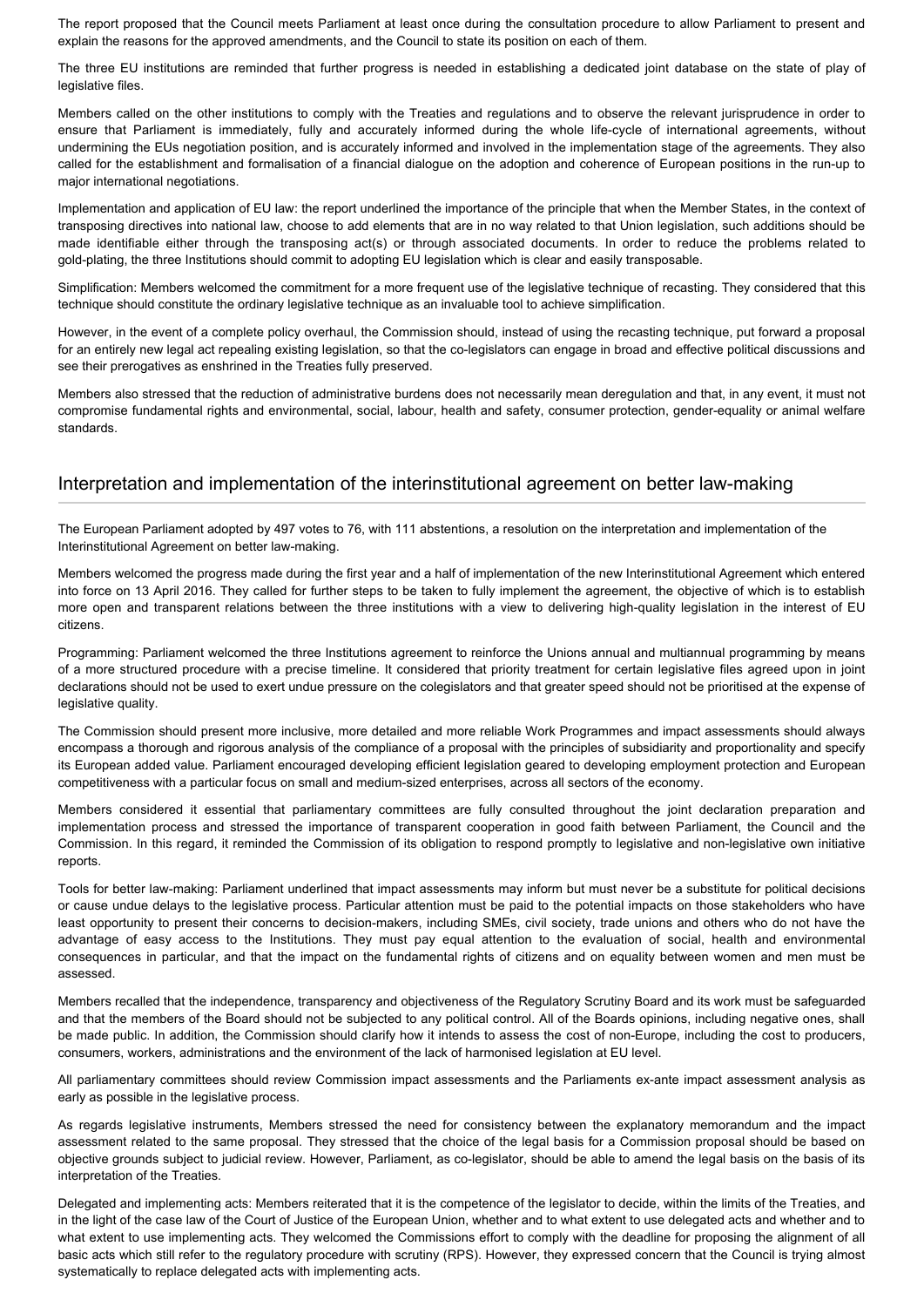The report proposed that the Council meets Parliament at least once during the consultation procedure to allow Parliament to present and explain the reasons for the approved amendments, and the Council to state its position on each of them.

The three EU institutions are reminded that further progress is needed in establishing a dedicated joint database on the state of play of legislative files.

Members called on the other institutions to comply with the Treaties and regulations and to observe the relevant jurisprudence in order to ensure that Parliament is immediately, fully and accurately informed during the whole life-cycle of international agreements, without undermining the EUs negotiation position, and is accurately informed and involved in the implementation stage of the agreements. They also called for the establishment and formalisation of a financial dialogue on the adoption and coherence of European positions in the run-up to major international negotiations.

Implementation and application of EU law: the report underlined the importance of the principle that when the Member States, in the context of transposing directives into national law, choose to add elements that are in no way related to that Union legislation, such additions should be made identifiable either through the transposing act(s) or through associated documents. In order to reduce the problems related to gold-plating, the three Institutions should commit to adopting EU legislation which is clear and easily transposable.

Simplification: Members welcomed the commitment for a more frequent use of the legislative technique of recasting. They considered that this technique should constitute the ordinary legislative technique as an invaluable tool to achieve simplification.

However, in the event of a complete policy overhaul, the Commission should, instead of using the recasting technique, put forward a proposal for an entirely new legal act repealing existing legislation, so that the co-legislators can engage in broad and effective political discussions and see their prerogatives as enshrined in the Treaties fully preserved.

Members also stressed that the reduction of administrative burdens does not necessarily mean deregulation and that, in any event, it must not compromise fundamental rights and environmental, social, labour, health and safety, consumer protection, gender-equality or animal welfare standards.

## Interpretation and implementation of the interinstitutional agreement on better law-making

The European Parliament adopted by 497 votes to 76, with 111 abstentions, a resolution on the interpretation and implementation of the Interinstitutional Agreement on better law-making.

Members welcomed the progress made during the first year and a half of implementation of the new Interinstitutional Agreement which entered into force on 13 April 2016. They called for further steps to be taken to fully implement the agreement, the objective of which is to establish more open and transparent relations between the three institutions with a view to delivering high-quality legislation in the interest of EU citizens.

Programming: Parliament welcomed the three Institutions agreement to reinforce the Unions annual and multiannual programming by means of a more structured procedure with a precise timeline. It considered that priority treatment for certain legislative files agreed upon in joint declarations should not be used to exert undue pressure on the colegislators and that greater speed should not be prioritised at the expense of legislative quality.

The Commission should present more inclusive, more detailed and more reliable Work Programmes and impact assessments should always encompass a thorough and rigorous analysis of the compliance of a proposal with the principles of subsidiarity and proportionality and specify its European added value. Parliament encouraged developing efficient legislation geared to developing employment protection and European competitiveness with a particular focus on small and medium-sized enterprises, across all sectors of the economy.

Members considered it essential that parliamentary committees are fully consulted throughout the joint declaration preparation and implementation process and stressed the importance of transparent cooperation in good faith between Parliament, the Council and the Commission. In this regard, it reminded the Commission of its obligation to respond promptly to legislative and non-legislative own initiative reports.

Tools for better law-making: Parliament underlined that impact assessments may inform but must never be a substitute for political decisions or cause undue delays to the legislative process. Particular attention must be paid to the potential impacts on those stakeholders who have least opportunity to present their concerns to decision-makers, including SMEs, civil society, trade unions and others who do not have the advantage of easy access to the Institutions. They must pay equal attention to the evaluation of social, health and environmental consequences in particular, and that the impact on the fundamental rights of citizens and on equality between women and men must be assessed.

Members recalled that the independence, transparency and objectiveness of the Regulatory Scrutiny Board and its work must be safeguarded and that the members of the Board should not be subjected to any political control. All of the Boards opinions, including negative ones, shall be made public. In addition, the Commission should clarify how it intends to assess the cost of non-Europe, including the cost to producers, consumers, workers, administrations and the environment of the lack of harmonised legislation at EU level.

All parliamentary committees should review Commission impact assessments and the Parliaments ex-ante impact assessment analysis as early as possible in the legislative process.

As regards legislative instruments, Members stressed the need for consistency between the explanatory memorandum and the impact assessment related to the same proposal. They stressed that the choice of the legal basis for a Commission proposal should be based on objective grounds subject to judicial review. However, Parliament, as co-legislator, should be able to amend the legal basis on the basis of its interpretation of the Treaties.

Delegated and implementing acts: Members reiterated that it is the competence of the legislator to decide, within the limits of the Treaties, and in the light of the case law of the Court of Justice of the European Union, whether and to what extent to use delegated acts and whether and to what extent to use implementing acts. They welcomed the Commissions effort to comply with the deadline for proposing the alignment of all basic acts which still refer to the regulatory procedure with scrutiny (RPS). However, they expressed concern that the Council is trying almost systematically to replace delegated acts with implementing acts.